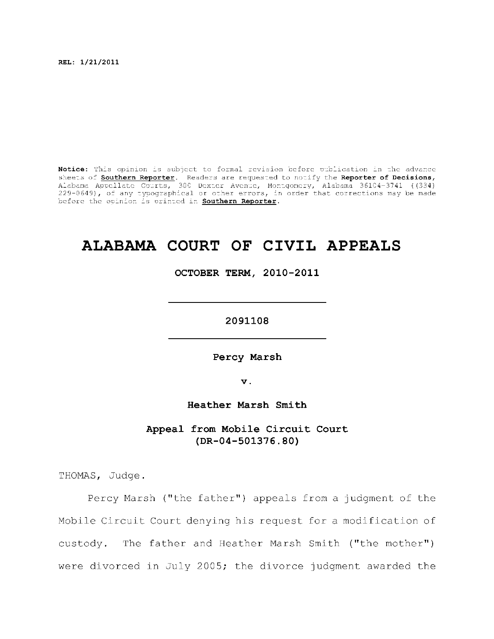**REL: 1/21/2011** 

Notice: This opinion is subject to formal revision before publication in the advance sheets of **Southern Reporter**. Readers are requested to notify the Reporter of Decisions, Alabama Appellat e Courts , 300 Dexte r Avenue, Montgomery, Alabama 36104-3741 ((334) 229-0649), of any typographical or other errors, in order that corrections may be made before the opinion is printed in **Southern Reporter**.

# **ALABAMA COURT OF CIVIL APPEALS**

**OCTOBER TERM, 2010-2011** 

**2091108** 

**Percy Marsh** 

**v.** 

**Heather Marsh Smith** 

Appeal from Mobile Circuit Court **(DR-04-501376.80)** 

THOMAS, Judge.

Percy Marsh ("the father") appeals from a judgment of the Mobile Circuit Court denying his request for a modification of custody. The father and Heather Marsh Smith ("the mother") were divorced in July 2005; the divorce judgment awarded the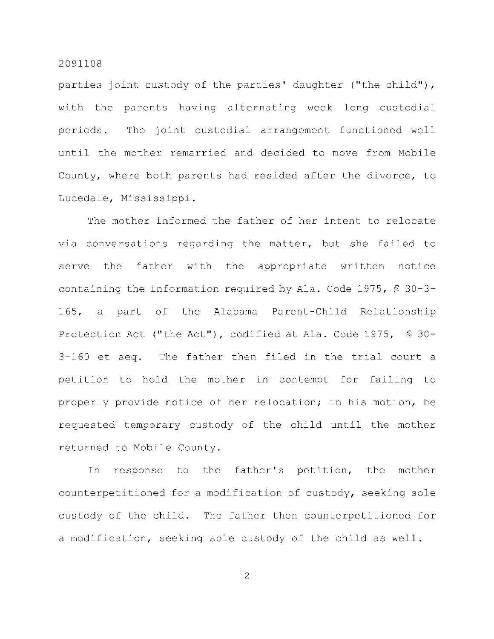parties joint custody of the parties' daughter ("the child"), with the parents having alternating week long custodial periods. The joint custodial arrangement functioned well until the mother remarried and decided to move from Mobile County, where both parents had resided after the divorce, to Lucedale, Mississippi.

The mother informed the father of her intent to relocate via conversations regarding the matter, but she failed to serve the father with the appropriate written notice containing the information required by Ala. Code 1975,  $$30-3-$ 165, a part of the Alabama Parent-Child Relationship Protection Act ("the Act"), codified at Ala. Code 1975,  $\frac{1}{2}$  30- $3-160$  et seq. The father then filed in the trial court a petition to hold the mother in contempt for failing to properly provide notice of her relocation; in his motion, he requested temporary custody of the child until the mother returned to Mobile County.

In response to the father's petition, the mother counterpetitioned for a modification of custody, seeking sole custody of the child. The father then counterpetitioned for a modification, seeking sole custody of the child as well.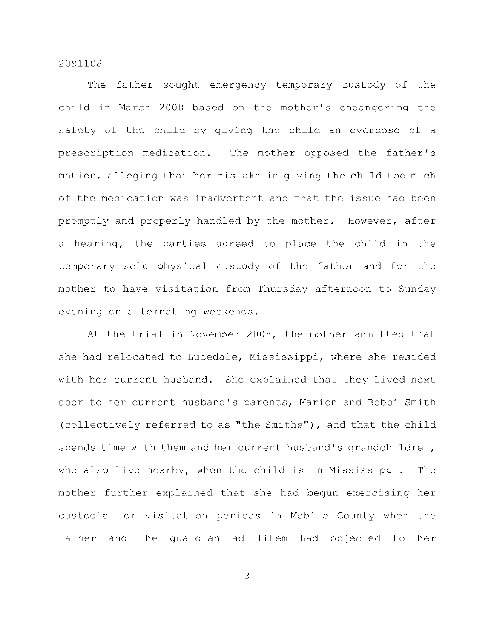The father sought emergency temporary custody of the child in March 2008 based on the mother's endangering the safety of the child by giving the child an overdose of a prescription medication. The mother opposed the father's motion, alleging that her mistake in giving the child too much of the medication was inadvertent and that the issue had been promptly and properly handled by the mother. However, after a hearing, the parties agreed to place the child in the temporary sole physical custody of the father and for the mother to have visitation from Thursday afternoon to Sunday evening on alternating weekends.

At the trial in November 2008, the mother admitted that she had relocated to Lucedale, Mississippi, where she resided with her current husband. She explained that they lived next door to her current husband's parents, Marion and Bobbi Smith (collectively referred to as "the Smiths"), and that the child spends time with them and her current husband's grandchildren, who also live nearby, when the child is in Mississippi. The mother further explained that she had begun exercising her custodial or visitation periods in Mobile County when the father and the quardian ad litem had objected to her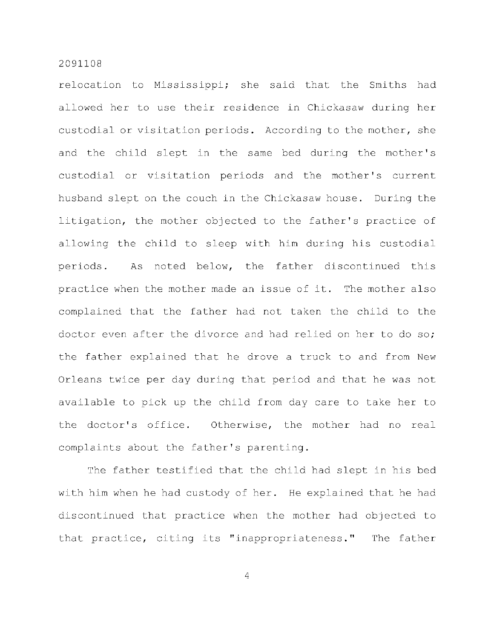relocation to Mississippi; she said that the Smiths had allowed her to use their residence in Chickasaw during her custodial or visitation periods. According to the mother, she and the child slept in the same bed during the mother's custodial or visitation periods and the mother's current husband slept on the couch in the Chickasaw house. During the litigation, the mother objected to the father's practice of allowing the child to sleep with him during his custodial periods. As noted below, the father discontinued this practice when the mother made an issue of it. The mother also complained that the father had not taken the child to the doctor even after the divorce and had relied on her to do so; the father explained that he drove a truck to and from New Orleans twice per day during that period and that he was not available to pick up the child from day care to take her to the doctor's office. Otherwise, the mother had no real complaints about the father's parenting.

The father testified that the child had slept in his bed with him when he had custody of her. He explained that he had discontinued that practice when the mother had objected to that practice, citing its "inappropriateness." The father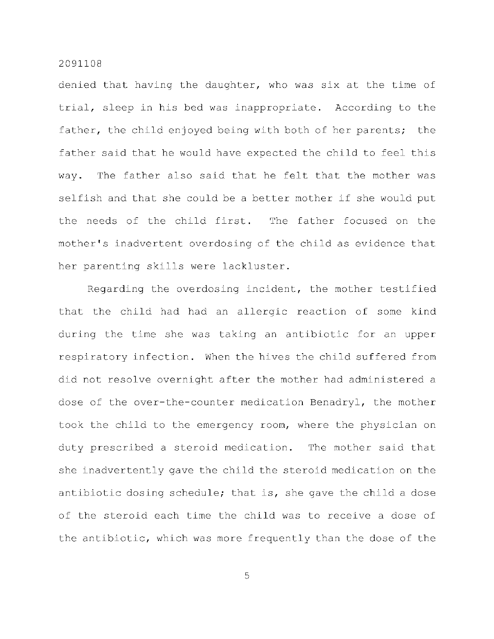denied that having the daughter, who was six at the time of trial, sleep in his bed was inappropriate. According to the father, the child enjoyed being with both of her parents; the father said that he would have expected the child to feel this way. The father also said that he felt that the mother was selfish and that she could be a better mother if she would put the needs of the child first. The father focused on the mother's inadvertent overdosing of the child as evidence that her parenting skills were lackluster.

Regarding the overdosing incident, the mother testified that the child had had an allergic reaction of some kind during the time she was taking an antibiotic for an upper respiratory infection. When the hives the child suffered from did not resolve overnight after the mother had administered a dose of the over-the-counter medication Benadryl, the mother took the child to the emergency room, where the physician on duty prescribed a steroid medication. The mother said that she inadvertently gave the child the steroid medication on the antibiotic dosing schedule; that is, she gave the child a dose of the steroid each time the child was to receive a dose of the antibiotic, which was more frequently than the dose of the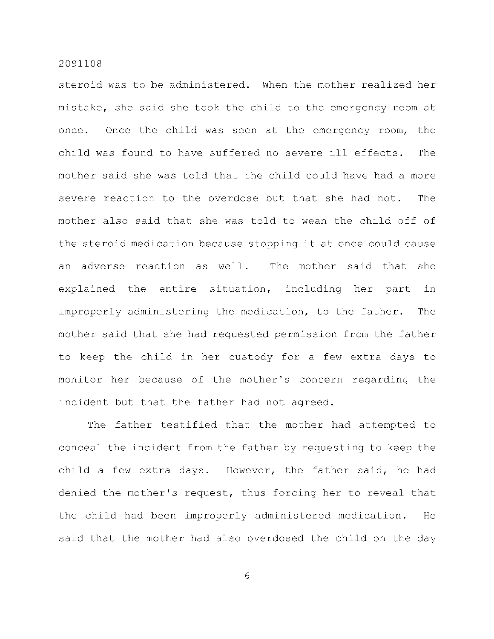steroid was to be administered. When the mother realized her mistake, she said she took the child to the emergency room at once. Once the child was seen at the emergency room, the child was found to have suffered no severe ill effects. The mother said she was told that the child could have had a more severe reaction to the overdose but that she had not. The mother also said that she was told to wean the child off of the steroid medication because stopping it at once could cause an adverse reaction as well. The mother said that she explained the entire situation, including her part in improperly administering the medication, to the father. The mother said that she had requested permission from the father to keep the child in her custody for a few extra days to monitor her because of the mother's concern regarding the incident but that the father had not agreed.

The father testified that the mother had attempted to conceal the incident from the father by requesting to keep the child a few extra days. However, the father said, he had denied the mother's request, thus forcing her to reveal that the child had been improperly administered medication. He said that the mother had also overdosed the child on the day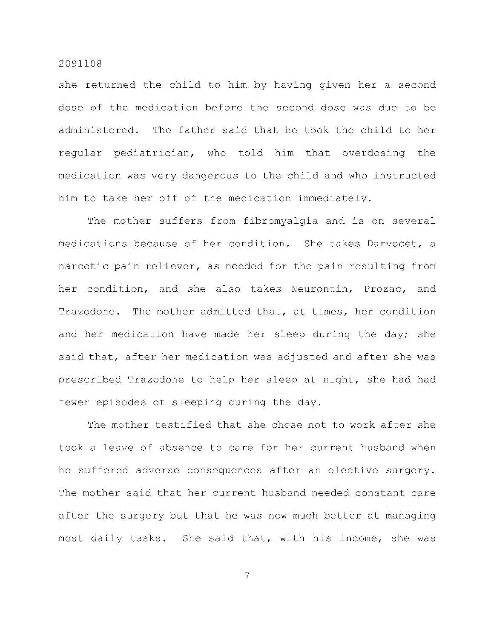she returned the child to him by having given her a second dose of the medication before the second dose was due to be administered. The father said that he took the child to her regular pediatrician, who told him that overdosing the medication was very dangerous to the child and who instructed him to take her off of the medication immediately.

The mother suffers from fibromyalgia and is on several medications because of her condition. She takes Darvocet, a narcotic pain reliever, as needed for the pain resulting from her condition, and she also takes Neurontin, Prozac, and Trazodone. The mother admitted that, at times, her condition and her medication have made her sleep during the day; she said that, after her medication was adjusted and after she was prescribed Trazodone to help her sleep at night, she had had fewer episodes of sleeping during the day.

The mother testified that she chose not to work after she took a leave of absence to care for her current husband when he suffered adverse consequences after an elective surgery. The mother said that her current husband needed constant care after the surgery but that he was now much better at managing most daily tasks. She said that, with his income, she was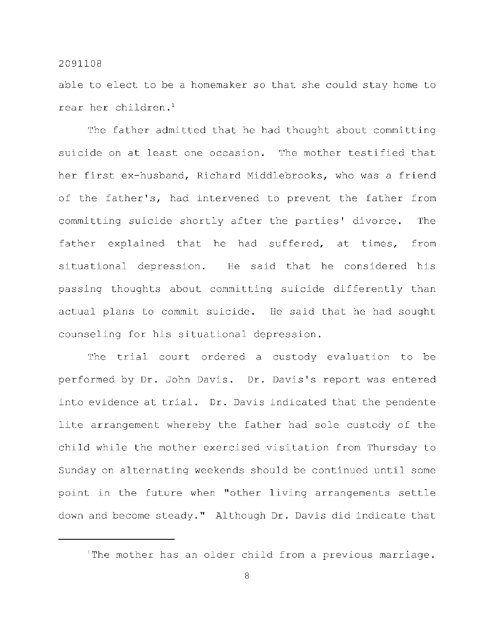able to elect to be a homemaker so that she could stay home to rear her children. $<sup>1</sup>$ </sup>

The father admitted that he had thought about committing suicide on at least one occasion. The mother testified that her first ex-husband, Richard Middlebrooks, who was a friend of the father's, had intervened to prevent the father from committing suicide shortly after the parties' divorce. The father explained that he had suffered, at times, from situational depression. He said that he considered his passing thoughts about committing suicide differently than actual plans to commit suicide. He said that he had sought counseling for his situational depression.

The trial court ordered a custody evaluation to be performed by Dr. John Davis. Dr. Davis's report was entered into evidence at trial. Dr. Davis indicated that the pendente lite arrangement whereby the father had sole custody of the child while the mother exercised visitation from Thursday to Sunday on alternating weekends should be continued until some point in the future when "other living arrangements settle down and become steady." Although Dr. Davis did indicate that

The mother has an older child from a previous marriage.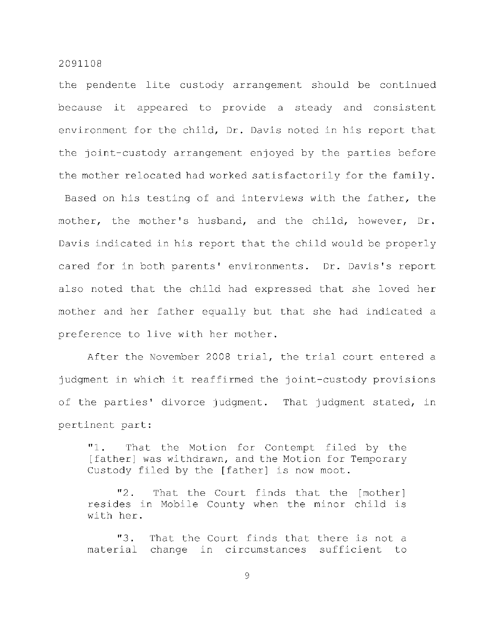the pendente lite custody arrangement should be continued because it appeared to provide a steady and consistent environment for the child, Dr. Davis noted in his report that the joint-custody arrangement enjoyed by the parties before the mother relocated had worked satisfactorily for the family. Based on his testing of and interviews with the father, the mother, the mother's husband, and the child, however, Dr. Davis indicated in his report that the child would be properly cared for in both parents' environments. Dr. Davis's report also noted that the child had expressed that she loved her mother and her father equally but that she had indicated a

preference to live with her mother.

After the November 2008 trial, the trial court entered a judgment in which it reaffirmed the joint-custody provisions of the parties' divorce judgment. That judgment stated, in pertinent part:

"1. That the Motion for Contempt filed by the [father] was withdrawn, and the Motion for Temporary Custody filed by the [father] is now moot.

"2. That the Court finds that the [mother] resides in Mobile County when the minor child is with her.

"3. That the Court finds that there is not a material change in circumstances sufficient to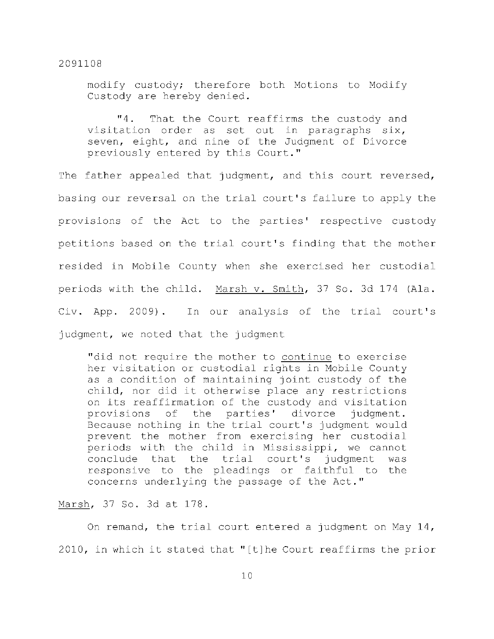modify custody; therefore both Motions to Modify Custody are hereby denied.

"4. That the Court reaffirms the custody and visitation order as set out in paragraphs  $six$ , seven, eight, and nine of the Judgment of Divorce previously entered by this Court."

The father appealed that judgment, and this court reversed, basing our reversal on the trial court's failure to apply the provisions of the Act to the parties' respective custody petitions based on the trial court's finding that the mother resided in Mobile County when she exercised her custodial periods with the child. Marsh v. Smith, 37 So. 3d 174 (Ala. Civ. App. 2009). In our analysis of the trial court's judgment, we noted that the judgment

"did not require the mother to continue to exercise her visitation or custodial rights in Mobile County as a condition of maintaining joint custody of the child, nor did it otherwise place any restrictions on its reaffirmation of the custody and visitation provisions of the parties' divorce judgment. Because nothing in the trial court's judgment would prevent the mother from exercising her custodial periods with the child in Mississippi, we cannot conclude that the trial court's judgment was responsive to the pleadings or faithful to the concerns underlying the passage of the Act."

Marsh, 37 So. 3d at 178.

On remand, the trial court entered a judgment on May  $14$ , 2010, in which it stated that "[t]he Court reaffirms the prior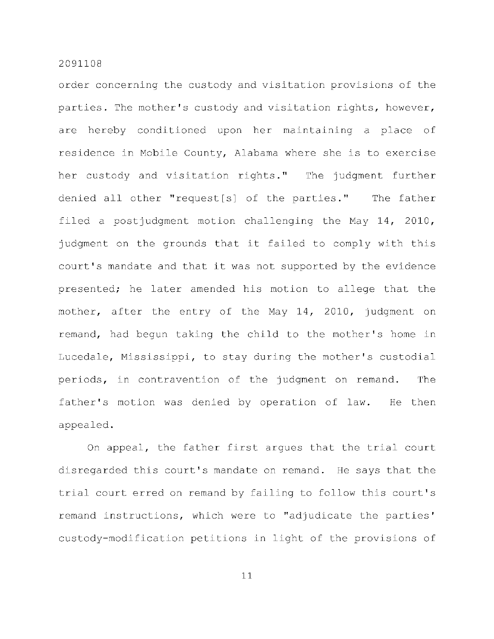order concerning the custody and visitation provisions of the parties. The mother's custody and visitation rights, however, are hereby conditioned upon her maintaining a place of residence in Mobile County, Alabama where she is to exercise her custody and visitation rights." The judgment further denied all other "request[s] of the parties." The father filed a postjudgment motion challenging the May  $14$ , 2010, judgment on the grounds that it failed to comply with this court's mandate and that it was not supported by the evidence presented; he later amended his motion to allege that the mother, after the entry of the May 14, 2010, judgment on remand, had begun taking the child to the mother's home in Lucedale, Mississippi, to stay during the mother's custodial periods, in contravention of the judgment on remand. The father's motion was denied by operation of law. He then appealed .

On appeal, the father first argues that the trial court disregarded this court's mandate on remand. He says that the trial court erred on remand by failing to follow this court's remand instructions, which were to "adjudicate the parties' custody-modification petitions in light of the provisions of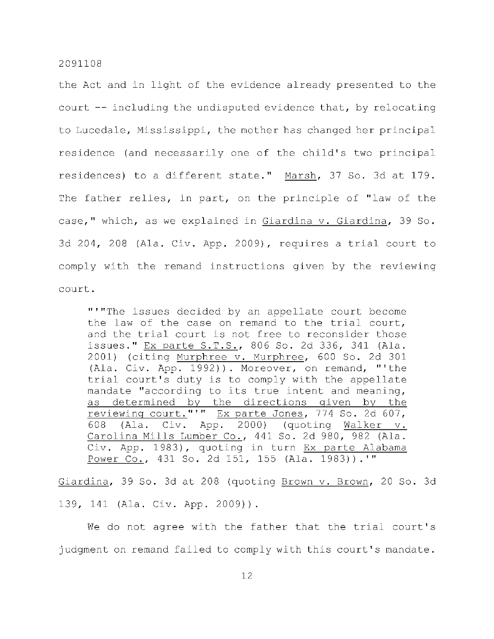the Act and in light of the evidence already presented to the court  $-$ - including the undisputed evidence that, by relocating to Lucedale, Mississippi, the mother has changed her principal residence (and necessarily one of the child's two principal residences) to a different state." Marsh, 37 So. 3d at 179. The father relies, in part, on the principle of "law of the case," which, as we explained in Giardina v. Giardina, 39 So. 3d 204, 208 (Ala. Civ. App. 2009), requires a trial court to comply with the remand instructions given by the reviewing court .

"'"The issues decided by an appellate court become the law of the case on remand to the trial court, and the trial court is not free to reconsider those issues." Ex parte S.T.S., 806 So. 2d 336, 341 (Ala. 2001) (citing Murphree v. Murphree, 600 So. 2d 301 (Ala. Civ. App. 1992)). Moreover, on remand, "'the trial court's duty is to comply with the appellate mandate "according to its true intent and meaning, as determined by the directions given by the reviewing court."'" Ex parte Jones, 774 So. 2d 607, 608 (Ala. Civ. App. 2000) (quoting Walker  $v$ . Carolina Mills Lumber Co., 441 So. 2d 980, 982 (Ala. Civ. App. 1983), quoting in turn Ex parte Alabama Power Co., 431 So. 2d 151, 155 (Ala. 1983)).'"

Giardina, 39 So. 3d at 208 (quoting Brown v. Brown, 20 So. 3d 139, 141 (Ala. Civ. App. 2009)).

We do not agree with the father that the trial court's judgment on remand failed to comply with this court's mandate.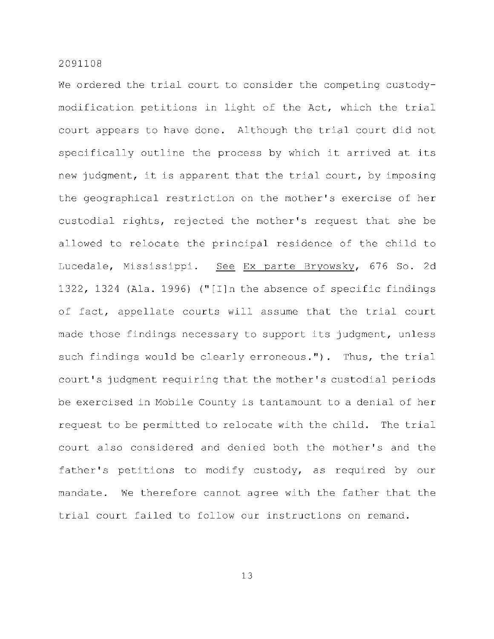We ordered the trial court to consider the competing custodymodification petitions in light of the Act, which the trial court appears to have done. Although the trial court did not specifically outline the process by which it arrived at its new judgment, it is apparent that the trial court, by imposing the geographical restriction on the mother's exercise of her custodial rights, rejected the mother's request that she be allowed to relocate the principal residence of the child to Lucedale, Mississippi. See Ex parte Bryowsky, 676 So. 2d 1322, 1324 (Ala. 1996) ("[I] n the absence of specific findings of fact, appellate courts will assume that the trial court made those findings necessary to support its judgment, unless such findings would be clearly erroneous."). Thus, the trial court's judgment requiring that the mother's custodial periods be exercised in Mobile County is tantamount to a denial of her request to be permitted to relocate with the child. The trial court also considered and denied both the mother's and the father's petitions to modify custody, as required by our mandate. We therefore cannot agree with the father that the trial court failed to follow our instructions on remand.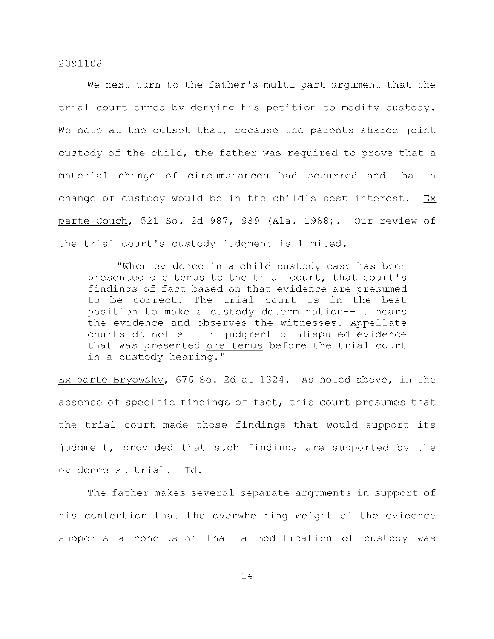We next turn to the father's multi part argument that the trial court erred by denying his petition to modify custody. We note at the outset that, because the parents shared joint custody of the child, the father was required to prove that a material change of circumstances had occurred and that a change of custody would be in the child's best interest. Ex parte Couch, 521 So. 2d 987, 989 (Ala. 1988). Our review of the trial court's custody judgment is limited.

"When evidence in a child custody case has been presented ore tenus to the trial court, that court's findings of fact based on that evidence are presumed to be correct. The trial court is in the best position to make a custody determination--it hears the evidence and observes the witnesses. Appellate courts do not sit in judgment of disputed evidence that was presented ore tenus before the trial court in a custody hearing."

Ex parte Bryowsky, 676 So. 2d at 1324. As noted above, in the absence of specific findings of fact, this court presumes that the trial court made those findings that would support its judgment, provided that such findings are supported by the evidence at trial. Id.

The father makes several separate arguments in support of his contention that the overwhelming weight of the evidence supports a conclusion that a modification of custody was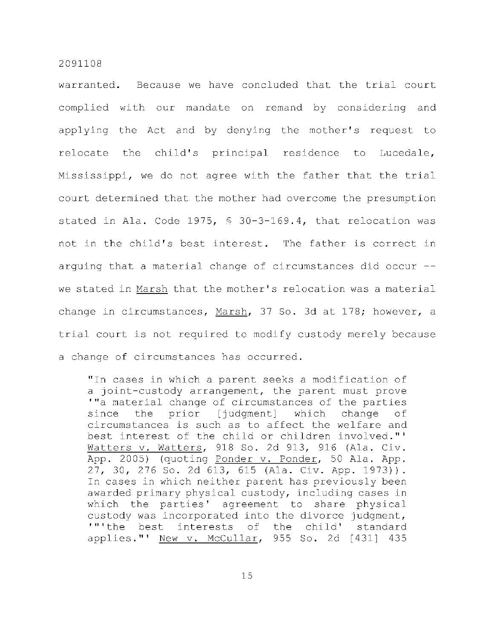warranted. Because we have concluded that the trial court complied with our mandate on remand by considering and applying the Act and by denying the mother's request to relocate the child's principal residence to Lucedale, Mississippi, we do not agree with the father that the trial court determined that the mother had overcome the presumption stated in Ala. Code 1975,  $\frac{6}{5}$  30-3-169.4, that relocation was not in the child's best interest. The father is correct in arguing that a material change of circumstances did occur  $-$ we stated in Marsh that the mother's relocation was a material change in circumstances, Marsh, 37 So. 3d at 178; however, a trial court is not required to modify custody merely because a change of circumstances has occurred.

" In cases in which a parent seeks a modification of a joint-custody arrangement, the parent must prove '"a material change of circumstances of the parties since the prior [judgment] which change of circumstances is such as to affect the welfare and best interest of the child or children involved."' Watters v. Watters, 918 So. 2d 913, 916 (Ala. Civ. App. 2005) (quoting Ponder v. Ponder, 50 Ala. App. 27, 30, 276 So. 2d 613, 615 (Ala. Civ. App. 1973)). In cases in which neither parent has previously been awarded primary physical custody, including cases in which the parties' agreement to share physical custody was incorporated into the divorce judgment, '"'the best interests of the child' standard applies." New  $v$ . McCullar, 955 So. 2d  $[431]$  435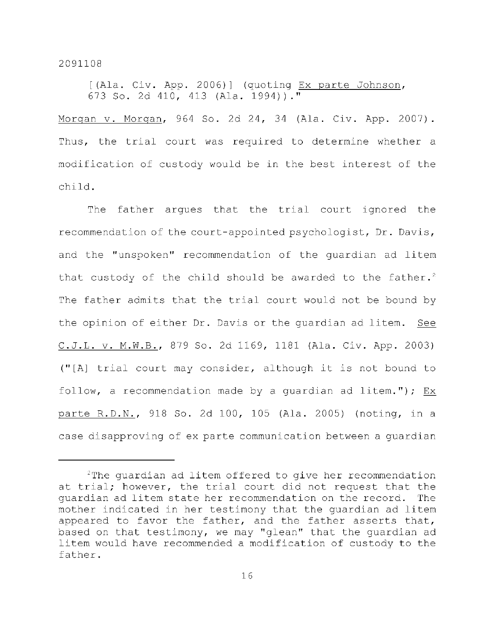$[ (Ala. Civ. App. 2006) ]$  (quoting Ex parte Johnson, 673 So. 2d 410, 413 (Ala. 1994))."

Morgan v. Morgan, 964 So. 2d 24, 34 (Ala. Civ. App. 2007). Thus, the trial court was required to determine whether a modification of custody would be in the best interest of the child .

The father argues that the trial court ignored the recommendation of the court-appointed psychologist, Dr. Davis, and the "unspoken" recommendation of the quardian ad litem that custody of the child should be awarded to the father.<sup>2</sup> The father admits that the trial court would not be bound by the opinion of either Dr. Davis or the quardian ad litem. See C.J.L. v. M.W.B., 879 So. 2d 1169, 1181 (Ala. Civ. App. 2003) (" $[A]$  trial court may consider, although it is not bound to follow, a recommendation made by a quardian ad litem."); Ex parte R.D.N., 918 So. 2d 100, 105 (Ala. 2005) (noting, in a case disapproving of ex parte communication between a quardian

 $2$ The guardian ad litem offered to give her recommendation at trial; however, the trial court did not request that the quardian ad litem state her recommendation on the record. The mother indicated in her testimony that the quardian ad litem appeared to favor the father, and the father asserts that, based on that testimony, we may "glean" that the quardian ad litem would have recommended a modification of custody to the father .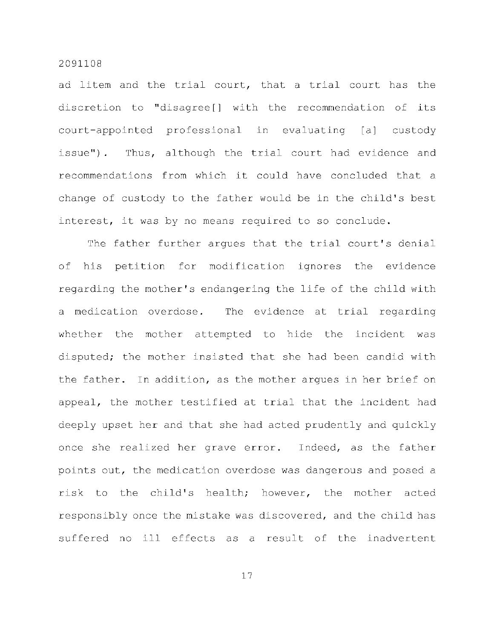ad litem and the trial court, that a trial court has the discretion to "disagree[] with the recommendation of its court-appointed professional in evaluating [a] custody issue"). Thus, although the trial court had evidence and recommendations from which it could have concluded that a change of custody to the father would be in the child's best interest, it was by no means required to so conclude.

The father further arques that the trial court's denial of his petition for modification ignores the evidence regarding the mother's endangering the life of the child with a medication overdose. The evidence at trial regarding whether the mother attempted to hide the incident was disputed; the mother insisted that she had been candid with the father. In addition, as the mother argues in her brief on appeal, the mother testified at trial that the incident had deeply upset her and that she had acted prudently and quickly once she realized her grave error. Indeed, as the father points out, the medication overdose was dangerous and posed a risk to the child's health; however, the mother acted responsibly once the mistake was discovered, and the child has suffered no ill effects as a result of the inadvertent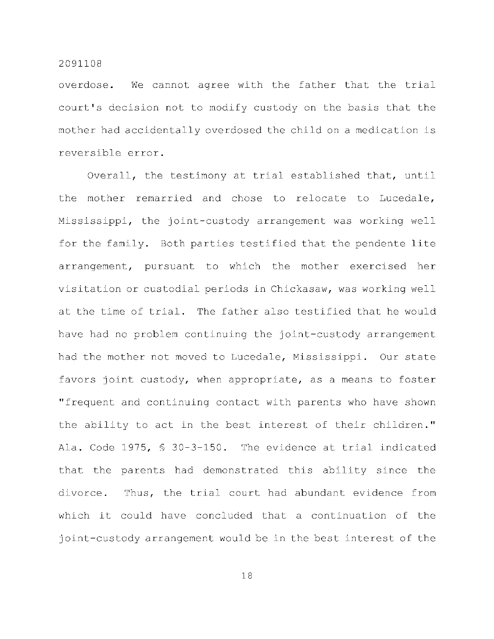overdose. We cannot agree with the father that the trial court's decision not to modify custody on the basis that the mother had accidentally overdosed the child on a medication is reversible error.

Overall, the testimony at trial established that, until the mother remarried and chose to relocate to Lucedale, Mississippi, the joint-custody arrangement was working well for the family. Both parties testified that the pendente lite arrangement, pursuant to which the mother exercised her visitation or custodial periods in Chickasaw, was working well at the time of trial. The father also testified that he would have had no problem continuing the joint-custody arrangement had the mother not moved to Lucedale, Mississippi. Our state favors joint custody, when appropriate, as a means to foster "frequent and continuing contact with parents who have shown the ability to act in the best interest of their children." Ala. Code 1975,  $$30-3-150$ . The evidence at trial indicated that the parents had demonstrated this ability since the divorce. Thus, the trial court had abundant evidence from which it could have concluded that a continuation of the joint-custody arrangement would be in the best interest of the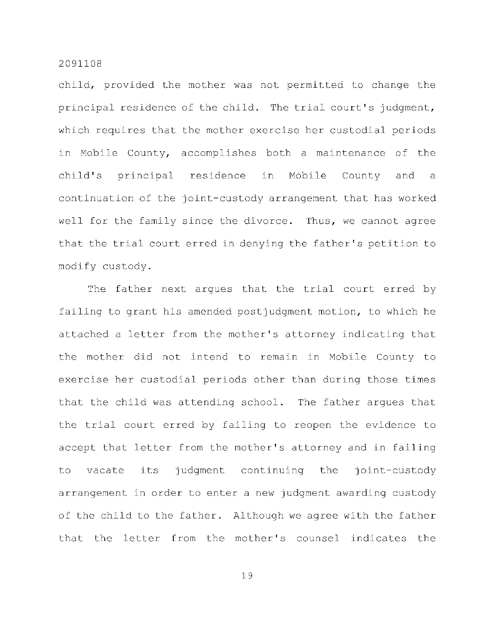child, provided the mother was not permitted to change the principal residence of the child. The trial court's judgment, which requires that the mother exercise her custodial periods in Mobile County, accomplishes both a maintenance of the child's principal residence in Mobile County and a continuation of the joint-custody arrangement that has worked well for the family since the divorce. Thus, we cannot agree that the trial court erred in denying the father's petition to modify custody.

The father next argues that the trial court erred by failing to grant his amended postjudgment motion, to which he attached a letter from the mother's attorney indicating that the mother did not intend to remain in Mobile County to exercise her custodial periods other than during those times that the child was attending school. The father argues that the trial court erred by failing to reopen the evidence to accept that letter from the mother's attorney and in failing to vacate its judgment continuing the joint-custody arrangement in order to enter a new judgment awarding custody of the child to the father. Although we agree with the father that the letter from the mother's counsel indicates the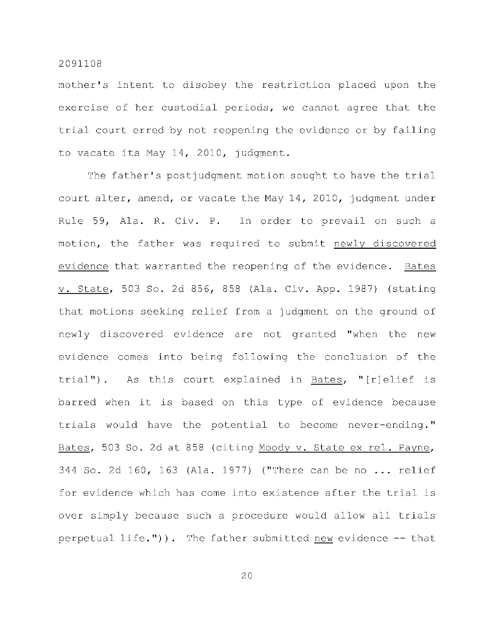mother's intent to disobey the restriction placed upon the exercise of her custodial periods, we cannot agree that the trial court erred by not reopening the evidence or by failing to vacate its May 14, 2010, judgment.

The father's postjudgment motion sought to have the trial court alter, amend, or vacate the May 14, 2010, judgment under Rule 59, Ala. R. Civ. P. In order to prevail on such a motion, the father was required to submit newly discovered evidence that warranted the reopening of the evidence. Bates v. State, 503 So. 2d 856, 858 (Ala. Civ. App. 1987) (stating that motions seeking relief from a judgment on the ground of newly discovered evidence are not granted "when the new evidence comes into being following the conclusion of the trial"). As this court explained in Bates, "[r]elief is barred when it is based on this type of evidence because trials would have the potential to become never-ending." Bates, 503 So. 2d at 858 (citing Moody v. State ex rel. Payne, 344 So. 2d 160, 163 (Ala. 1977) ("There can be no ... relief for evidence which has come into existence after the trial is over simply because such a procedure would allow all trials perpetual life.")). The father submitted new evidence  $-$  that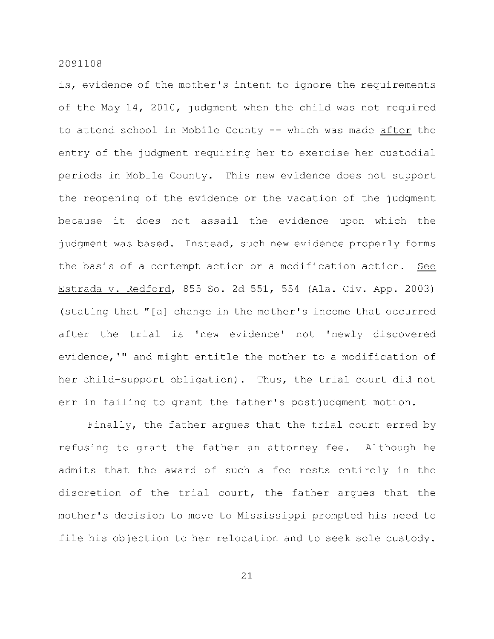is, evidence of the mother's intent to ignore the requirements of the May 14, 2010, judgment when the child was not required to attend school in Mobile County -- which was made after the entry of the judgment requiring her to exercise her custodial periods in Mobile County. This new evidence does not support the reopening of the evidence or the vacation of the judgment because it does not assail the evidence upon which the judgment was based. Instead, such new evidence properly forms the basis of a contempt action or a modification action. See Estrada v. Redford, 855 So. 2d 551, 554 (Ala. Civ. App. 2003) (stating that "[a] change in the mother's income that occurred after the trial is 'new evidence' not 'newly discovered evidence, '" and might entitle the mother to a modification of her child-support obligation). Thus, the trial court did not err in failing to grant the father's postjudgment motion.

Finally, the father argues that the trial court erred by refusing to grant the father an attorney fee. Although he admits that the award of such a fee rests entirely in the discretion of the trial court, the father argues that the mother's decision to move to Mississippi prompted his need to file his objection to her relocation and to seek sole custody.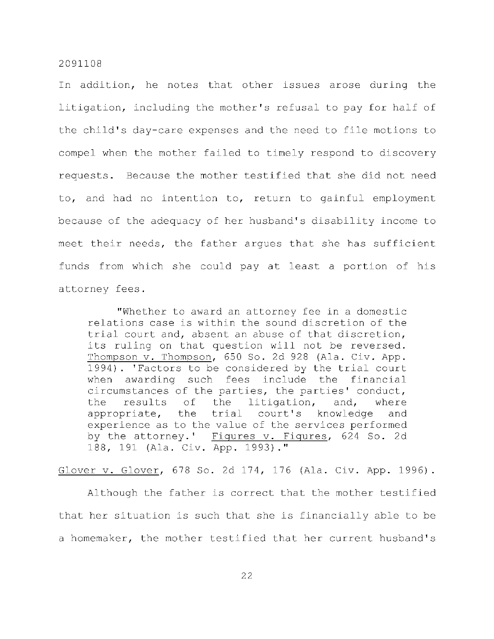In addition, he notes that other issues arose during the litigation, including the mother's refusal to pay for half of the child's day-care expenses and the need to file motions to compel when the mother failed to timely respond to discovery requests. Because the mother testified that she did not need to, and had no intention to, return to gainful employment because of the adequacy of her husband's disability income to meet their needs, the father argues that she has sufficient funds from which she could pay at least a portion of his attorney fees.

"Whether to award an attorney fee in a domestic relations case is within the sound discretion of the trial court and, absent an abuse of that discretion, its ruling on that question will not be reversed. Thompson v. Thompson, 650 So. 2d 928 (Ala. Civ. App. 1994). 'Factors to be considered by the trial court when awarding such fees include the financial circumstances of the parties, the parties' conduct, the results of the litigation, and, where appropriate, the trial court's knowledge and experience as to the value of the services performed by the attorney.' Figures v. Figures, 624 So. 2d 188, 191 (Ala. Civ. App. 1993)."

Glover v. Glover, 678 So. 2d 174, 176 (Ala. Civ. App. 1996).

Although the father is correct that the mother testified that her situation is such that she is financially able to be a homemaker, the mother testified that her current husband's